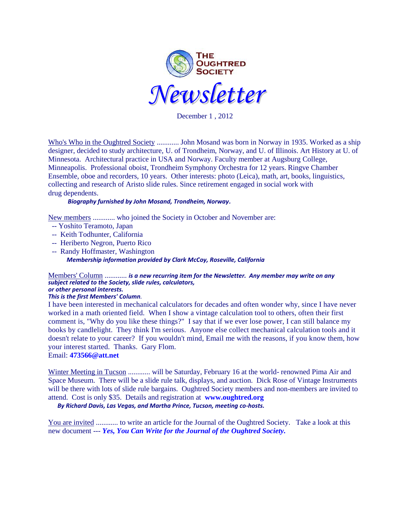

December 1 , 2012

Who's Who in the Oughtred Society ............ John Mosand was born in Norway in 1935. Worked as a ship designer, decided to study architecture, U. of Trondheim, Norway, and U. of Illinois. Art History at U. of Minnesota. Architectural practice in USA and Norway. Faculty member at Augsburg College, Minneapolis. Professional oboist, Trondheim Symphony Orchestra for 12 years. Ringve Chamber Ensemble, oboe and recorders, 10 years. Other interests: photo (Leica), math, art, books, linguistics, collecting and research of Aristo slide rules. Since retirement engaged in social work with drug dependents.

## *Biography furnished by John Mosand, Trondheim, Norway.*

New members ............ who joined the Society in October and November are:

- -- Yoshito Teramoto, Japan
- -- Keith Todhunter, California
- -- Heriberto Negron, Puerto Rico
- -- Randy Hoffmaster, Washington *Membership information provided by Clark McCoy, Roseville, California*

#### Members' Column ............ *is a new recurring item for the Newsletter. Any member may write on any subject related to the Society, slide rules, calculators, or other personal interests.*

## *This is the first Members' Column.*

I have been interested in mechanical calculators for decades and often wonder why, since I have never worked in a math oriented field. When I show a vintage calculation tool to others, often their first comment is, "Why do you like these things?" I say that if we ever lose power, I can still balance my books by candlelight. They think I'm serious. Anyone else collect mechanical calculation tools and it doesn't relate to your career? If you wouldn't mind, Email me with the reasons, if you know them, how your interest started. Thanks. Gary Flom.

Email: **[473566@att.net](mailto:473566@att.net)**

Winter Meeting in Tucson ............ will be Saturday, February 16 at the world- renowned Pima Air and Space Museum. There will be a slide rule talk, displays, and auction. Dick Rose of Vintage Instruments will be there with lots of slide rule bargains. Oughtred Society members and non-members are invited to attend. Cost is only \$35. Details and registration at **[www.oughtred.org](http://www.oughtred.org/)**

*By Richard Davis, Las Vegas, and Martha Prince, Tucson, meeting co-hosts.* 

You are invited ............ to write an article for the Journal of the Oughtred Society. Take a look at this new document --- *Yes, [You Can Write for the Journal of the Oughtred Society.](http://www.oughtred.org/jos/Writing_For_JOS_revA.pdf)*